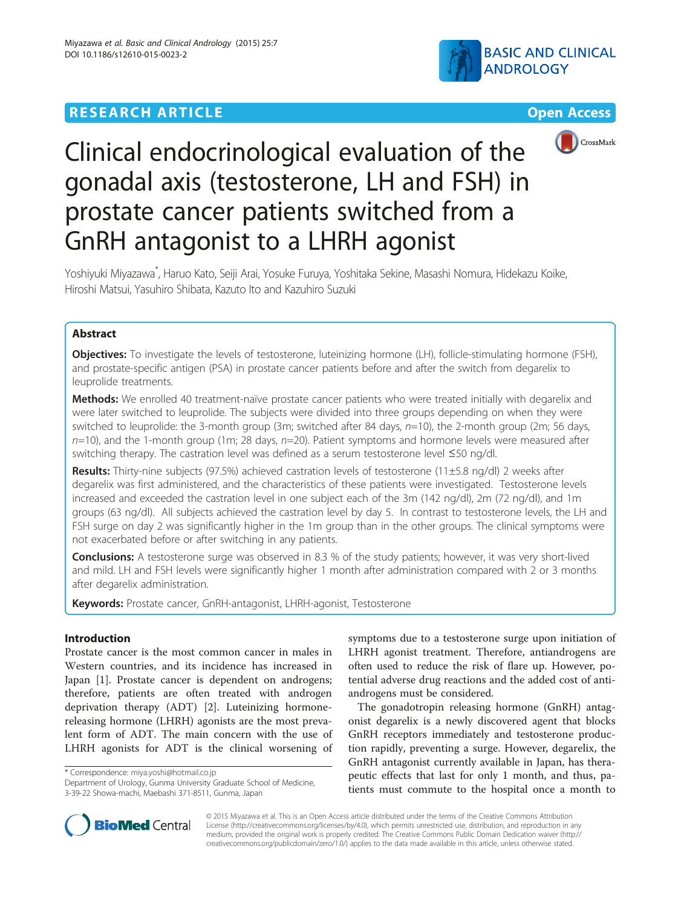# **RESEARCH ARTICLE Example 2018 12:00 DEAR COPEN ACCESS**







# Clinical endocrinological evaluation of the gonadal axis (testosterone, LH and FSH) in prostate cancer patients switched from a GnRH antagonist to a LHRH agonist

Yoshiyuki Miyazawa\* , Haruo Kato, Seiji Arai, Yosuke Furuya, Yoshitaka Sekine, Masashi Nomura, Hidekazu Koike, Hiroshi Matsui, Yasuhiro Shibata, Kazuto Ito and Kazuhiro Suzuki

# Abstract

Objectives: To investigate the levels of testosterone, luteinizing hormone (LH), follicle-stimulating hormone (FSH), and prostate-specific antigen (PSA) in prostate cancer patients before and after the switch from degarelix to leuprolide treatments.

Methods: We enrolled 40 treatment-naïve prostate cancer patients who were treated initially with degarelix and were later switched to leuprolide. The subjects were divided into three groups depending on when they were switched to leuprolide: the 3-month group (3m; switched after 84 days,  $n=10$ ), the 2-month group (2m; 56 days,  $n=10$ ), and the 1-month group (1m; 28 days,  $n=20$ ). Patient symptoms and hormone levels were measured after switching therapy. The castration level was defined as a serum testosterone level ≤50 ng/dl.

Results: Thirty-nine subjects (97.5%) achieved castration levels of testosterone (11±5.8 ng/dl) 2 weeks after degarelix was first administered, and the characteristics of these patients were investigated. Testosterone levels increased and exceeded the castration level in one subject each of the 3m (142 ng/dl), 2m (72 ng/dl), and 1m groups (63 ng/dl). All subjects achieved the castration level by day 5. In contrast to testosterone levels, the LH and FSH surge on day 2 was significantly higher in the 1m group than in the other groups. The clinical symptoms were not exacerbated before or after switching in any patients.

**Conclusions:** A testosterone surge was observed in 8.3 % of the study patients; however, it was very short-lived and mild. LH and FSH levels were significantly higher 1 month after administration compared with 2 or 3 months after degarelix administration.

Keywords: Prostate cancer, GnRH-antagonist, LHRH-agonist, Testosterone

# Introduction

Prostate cancer is the most common cancer in males in Western countries, and its incidence has increased in Japan [\[1](#page-7-0)]. Prostate cancer is dependent on androgens; therefore, patients are often treated with androgen deprivation therapy (ADT) [[2\]](#page-7-0). Luteinizing hormonereleasing hormone (LHRH) agonists are the most prevalent form of ADT. The main concern with the use of LHRH agonists for ADT is the clinical worsening of

\* Correspondence: [miya.yoshi@hotmail.co.jp](mailto:miya.yoshi@hotmail.co.jp)

symptoms due to a testosterone surge upon initiation of LHRH agonist treatment. Therefore, antiandrogens are often used to reduce the risk of flare up. However, potential adverse drug reactions and the added cost of antiandrogens must be considered.

The gonadotropin releasing hormone (GnRH) antagonist degarelix is a newly discovered agent that blocks GnRH receptors immediately and testosterone production rapidly, preventing a surge. However, degarelix, the GnRH antagonist currently available in Japan, has therapeutic effects that last for only 1 month, and thus, patients must commute to the hospital once a month to



© 2015 Miyazawa et al. This is an Open Access article distributed under the terms of the Creative Commons Attribution License (<http://creativecommons.org/licenses/by/4.0>), which permits unrestricted use, distribution, and reproduction in any medium, provided the original work is properly credited. The Creative Commons Public Domain Dedication waiver [\(http://](http://creativecommons.org/publicdomain/zero/1.0/) [creativecommons.org/publicdomain/zero/1.0/\)](http://creativecommons.org/publicdomain/zero/1.0/) applies to the data made available in this article, unless otherwise stated.

Department of Urology, Gunma University Graduate School of Medicine, 3-39-22 Showa-machi, Maebashi 371-8511, Gunma, Japan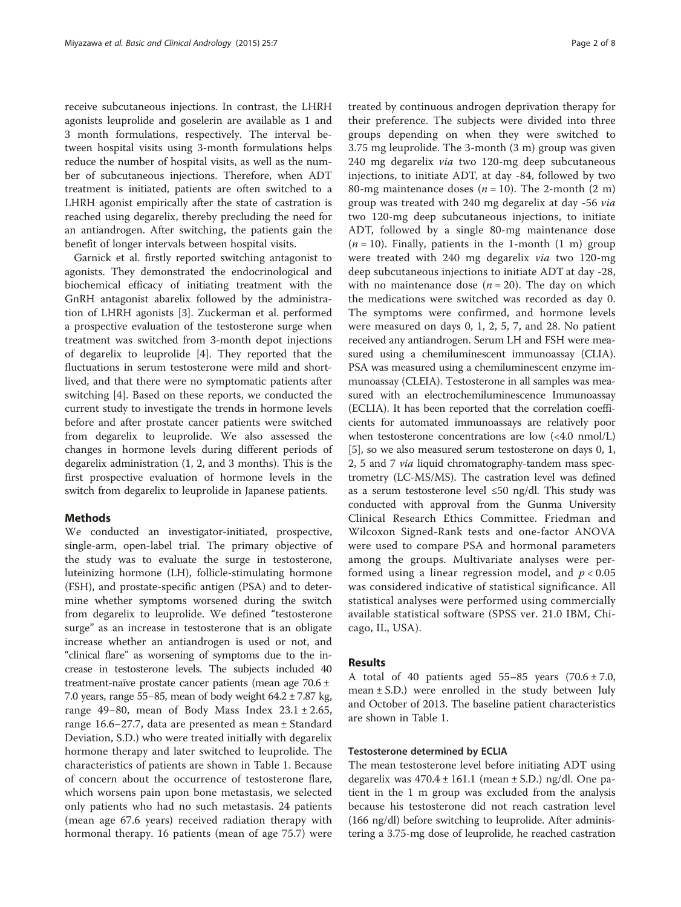receive subcutaneous injections. In contrast, the LHRH agonists leuprolide and goselerin are available as 1 and 3 month formulations, respectively. The interval between hospital visits using 3-month formulations helps reduce the number of hospital visits, as well as the number of subcutaneous injections. Therefore, when ADT treatment is initiated, patients are often switched to a LHRH agonist empirically after the state of castration is reached using degarelix, thereby precluding the need for an antiandrogen. After switching, the patients gain the benefit of longer intervals between hospital visits.

Garnick et al. firstly reported switching antagonist to agonists. They demonstrated the endocrinological and biochemical efficacy of initiating treatment with the GnRH antagonist abarelix followed by the administration of LHRH agonists [[3\]](#page-7-0). Zuckerman et al. performed a prospective evaluation of the testosterone surge when treatment was switched from 3-month depot injections of degarelix to leuprolide [[4\]](#page-7-0). They reported that the fluctuations in serum testosterone were mild and shortlived, and that there were no symptomatic patients after switching [\[4](#page-7-0)]. Based on these reports, we conducted the current study to investigate the trends in hormone levels before and after prostate cancer patients were switched from degarelix to leuprolide. We also assessed the changes in hormone levels during different periods of degarelix administration (1, 2, and 3 months). This is the first prospective evaluation of hormone levels in the switch from degarelix to leuprolide in Japanese patients.

#### **Methods**

We conducted an investigator-initiated, prospective, single-arm, open-label trial. The primary objective of the study was to evaluate the surge in testosterone, luteinizing hormone (LH), follicle-stimulating hormone (FSH), and prostate-specific antigen (PSA) and to determine whether symptoms worsened during the switch from degarelix to leuprolide. We defined "testosterone surge" as an increase in testosterone that is an obligate increase whether an antiandrogen is used or not, and "clinical flare" as worsening of symptoms due to the increase in testosterone levels. The subjects included 40 treatment-naïve prostate cancer patients (mean age 70.6 ± 7.0 years, range 55−85, mean of body weight 64.2 ± 7.87 kg, range 49–80, mean of Body Mass Index  $23.1 \pm 2.65$ , range 16.6−27.7, data are presented as mean ± Standard Deviation, S.D.) who were treated initially with degarelix hormone therapy and later switched to leuprolide. The characteristics of patients are shown in Table [1](#page-2-0). Because of concern about the occurrence of testosterone flare, which worsens pain upon bone metastasis, we selected only patients who had no such metastasis. 24 patients (mean age 67.6 years) received radiation therapy with hormonal therapy. 16 patients (mean of age 75.7) were

treated by continuous androgen deprivation therapy for their preference. The subjects were divided into three groups depending on when they were switched to 3.75 mg leuprolide. The 3-month (3 m) group was given 240 mg degarelix via two 120-mg deep subcutaneous injections, to initiate ADT, at day -84, followed by two 80-mg maintenance doses ( $n = 10$ ). The 2-month (2 m) group was treated with 240 mg degarelix at day -56 via two 120-mg deep subcutaneous injections, to initiate ADT, followed by a single 80-mg maintenance dose  $(n = 10)$ . Finally, patients in the 1-month  $(1 \text{ m})$  group were treated with 240 mg degarelix via two 120-mg deep subcutaneous injections to initiate ADT at day -28, with no maintenance dose  $(n = 20)$ . The day on which the medications were switched was recorded as day 0. The symptoms were confirmed, and hormone levels were measured on days 0, 1, 2, 5, 7, and 28. No patient received any antiandrogen. Serum LH and FSH were measured using a chemiluminescent immunoassay (CLIA). PSA was measured using a chemiluminescent enzyme immunoassay (CLEIA). Testosterone in all samples was measured with an electrochemiluminescence Immunoassay (ECLIA). It has been reported that the correlation coefficients for automated immunoassays are relatively poor when testosterone concentrations are low (<4.0 nmol/L) [[5\]](#page-7-0), so we also measured serum testosterone on days 0, 1, 2, 5 and 7 via liquid chromatography-tandem mass spectrometry (LC-MS/MS). The castration level was defined as a serum testosterone level ≤50 ng/dl. This study was conducted with approval from the Gunma University Clinical Research Ethics Committee. Friedman and Wilcoxon Signed-Rank tests and one-factor ANOVA were used to compare PSA and hormonal parameters among the groups. Multivariate analyses were performed using a linear regression model, and  $p < 0.05$ was considered indicative of statistical significance. All statistical analyses were performed using commercially available statistical software (SPSS ver. 21.0 IBM, Chicago, IL, USA).

#### Results

A total of 40 patients aged  $55-85$  years  $(70.6 \pm 7.0,$ mean  $\pm$  S.D.) were enrolled in the study between July and October of 2013. The baseline patient characteristics are shown in Table [1](#page-2-0).

#### Testosterone determined by ECLIA

The mean testosterone level before initiating ADT using degarelix was  $470.4 \pm 161.1$  (mean  $\pm$  S.D.) ng/dl. One patient in the 1 m group was excluded from the analysis because his testosterone did not reach castration level (166 ng/dl) before switching to leuprolide. After administering a 3.75-mg dose of leuprolide, he reached castration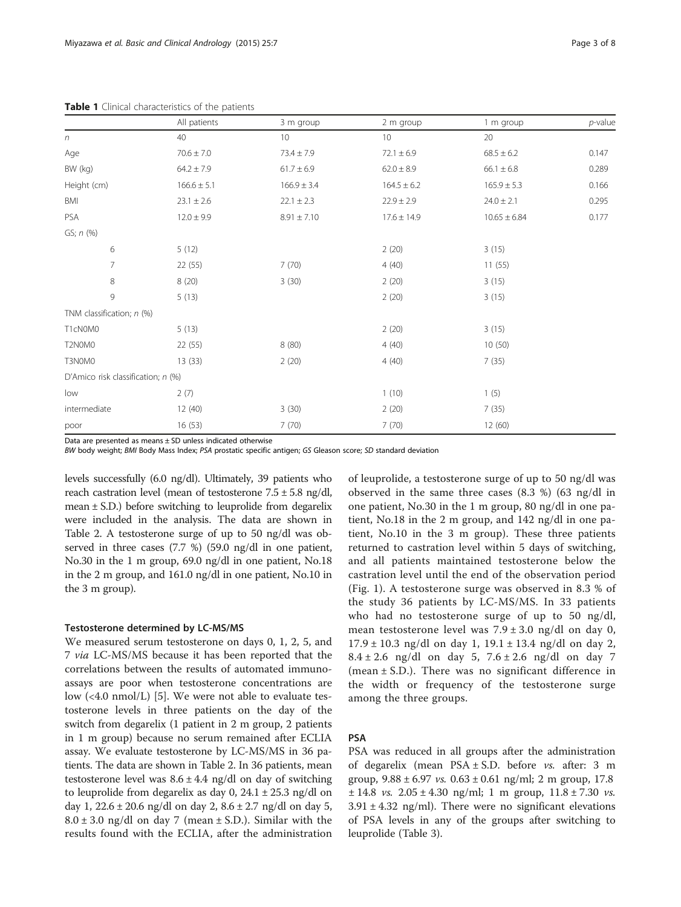|                                    | All patients    | 3 m group       | 2 m group       | 1 m group        | $p$ -value |
|------------------------------------|-----------------|-----------------|-----------------|------------------|------------|
| $\boldsymbol{n}$                   | 40              | 10 <sup>°</sup> | 10              | 20               |            |
| Age                                | $70.6 \pm 7.0$  | $73.4 \pm 7.9$  | $72.1 \pm 6.9$  | $68.5 \pm 6.2$   | 0.147      |
| BW (kg)                            | $64.2 \pm 7.9$  | $61.7 \pm 6.9$  | $62.0 \pm 8.9$  | $66.1 \pm 6.8$   | 0.289      |
| Height (cm)                        | $166.6 \pm 5.1$ | $166.9 \pm 3.4$ | $164.5 \pm 6.2$ | $165.9 \pm 5.3$  | 0.166      |
| BMI                                | $23.1 \pm 2.6$  | $22.1 \pm 2.3$  | $22.9 \pm 2.9$  | $24.0 \pm 2.1$   | 0.295      |
| PSA                                | $12.0 \pm 9.9$  | $8.91 \pm 7.10$ | $17.6 \pm 14.9$ | $10.65 \pm 6.84$ | 0.177      |
| GS; n (%)                          |                 |                 |                 |                  |            |
| 6                                  | 5(12)           |                 | 2(20)           | 3(15)            |            |
| $\overline{7}$                     | 22(55)          | 7(70)           | 4(40)           | 11(55)           |            |
| $\,8\,$                            | 8(20)           | 3(30)           | 2(20)           | 3(15)            |            |
| 9                                  | 5(13)           |                 | 2(20)           | 3(15)            |            |
| TNM classification; n (%)          |                 |                 |                 |                  |            |
| T1cN0M0                            | 5(13)           |                 | 2(20)           | 3(15)            |            |
| T2N0M0                             | 22 (55)         | 8(80)           | 4(40)           | 10(50)           |            |
| T3N0M0                             | 13(33)          | 2(20)           | 4(40)           | 7(35)            |            |
| D'Amico risk classification; n (%) |                 |                 |                 |                  |            |
| low                                | 2(7)            |                 | 1(10)           | 1(5)             |            |
| intermediate                       | 12(40)          | 3(30)           | 2(20)           | 7(35)            |            |
| poor                               | 16 (53)         | 7(70)           | 7(70)           | 12 (60)          |            |

<span id="page-2-0"></span>Table 1 Clinical characteristics of the patients

Data are presented as means  $\pm$  SD unless indicated otherwise

BW body weight; BMI Body Mass Index; PSA prostatic specific antigen; GS Gleason score; SD standard deviation

levels successfully (6.0 ng/dl). Ultimately, 39 patients who reach castration level (mean of testosterone  $7.5 \pm 5.8$  ng/dl, mean ± S.D.) before switching to leuprolide from degarelix were included in the analysis. The data are shown in Table [2](#page-3-0). A testosterone surge of up to 50 ng/dl was observed in three cases (7.7 %) (59.0 ng/dl in one patient, No.30 in the 1 m group, 69.0 ng/dl in one patient, No.18 in the 2 m group, and 161.0 ng/dl in one patient, No.10 in the 3 m group).

#### Testosterone determined by LC-MS/MS

We measured serum testosterone on days 0, 1, 2, 5, and 7 via LC-MS/MS because it has been reported that the correlations between the results of automated immunoassays are poor when testosterone concentrations are low (<4.0 nmol/L) [[5\]](#page-7-0). We were not able to evaluate testosterone levels in three patients on the day of the switch from degarelix (1 patient in 2 m group, 2 patients in 1 m group) because no serum remained after ECLIA assay. We evaluate testosterone by LC-MS/MS in 36 patients. The data are shown in Table [2](#page-3-0). In 36 patients, mean testosterone level was  $8.6 \pm 4.4$  ng/dl on day of switching to leuprolide from degarelix as day 0,  $24.1 \pm 25.3$  ng/dl on day 1,  $22.6 \pm 20.6$  ng/dl on day 2,  $8.6 \pm 2.7$  ng/dl on day 5,  $8.0 \pm 3.0$  ng/dl on day 7 (mean  $\pm$  S.D.). Similar with the results found with the ECLIA, after the administration

of leuprolide, a testosterone surge of up to 50 ng/dl was observed in the same three cases (8.3 %) (63 ng/dl in one patient, No.30 in the 1 m group, 80 ng/dl in one patient, No.18 in the 2 m group, and 142 ng/dl in one patient, No.10 in the 3 m group). These three patients returned to castration level within 5 days of switching, and all patients maintained testosterone below the castration level until the end of the observation period (Fig. [1\)](#page-4-0). A testosterone surge was observed in 8.3 % of the study 36 patients by LC-MS/MS. In 33 patients who had no testosterone surge of up to 50 ng/dl, mean testosterone level was 7.9 ± 3.0 ng/dl on day 0,  $17.9 \pm 10.3$  ng/dl on day 1,  $19.1 \pm 13.4$  ng/dl on day 2,  $8.4 \pm 2.6$  ng/dl on day 5,  $7.6 \pm 2.6$  ng/dl on day 7 (mean  $\pm$  S.D.). There was no significant difference in the width or frequency of the testosterone surge among the three groups.

### PSA

PSA was reduced in all groups after the administration of degarelix (mean PSA ± S.D. before vs. after: 3 m group,  $9.88 \pm 6.97$  *vs.*  $0.63 \pm 0.61$  ng/ml; 2 m group, 17.8  $\pm$  14.8 *vs.* 2.05  $\pm$  4.30 ng/ml; 1 m group, 11.8  $\pm$  7.30 *vs.*  $3.91 \pm 4.32$  ng/ml). There were no significant elevations of PSA levels in any of the groups after switching to leuprolide (Table [3\)](#page-4-0).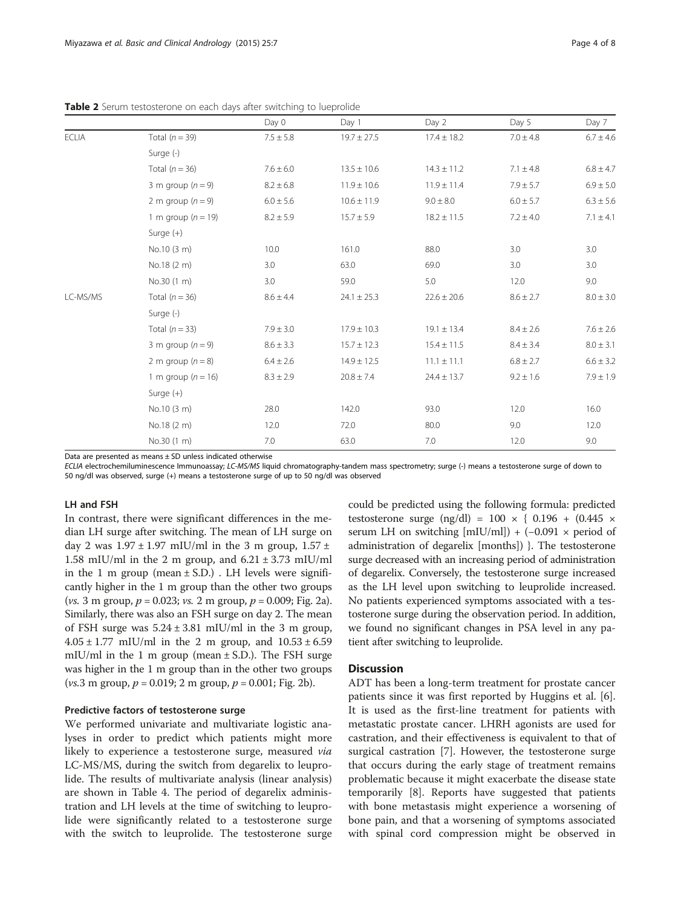<span id="page-3-0"></span>

| <b>Table 2</b> Serum testosterone on each days after switching to lueprolide |  |  |  |
|------------------------------------------------------------------------------|--|--|--|
|------------------------------------------------------------------------------|--|--|--|

|              |                        | Day 0         | Day 1           | Day 2           | Day 5         | Day 7         |  |  |  |  |  |
|--------------|------------------------|---------------|-----------------|-----------------|---------------|---------------|--|--|--|--|--|
| <b>ECLIA</b> | Total $(n = 39)$       | $7.5 \pm 5.8$ | $19.7 \pm 27.5$ | $17.4 \pm 18.2$ | $7.0 \pm 4.8$ | $6.7 \pm 4.6$ |  |  |  |  |  |
|              | Surge (-)              |               |                 |                 |               |               |  |  |  |  |  |
|              | Total $(n = 36)$       | $7.6 \pm 6.0$ | $13.5 \pm 10.6$ | $14.3 \pm 11.2$ | $7.1 \pm 4.8$ | $6.8 \pm 4.7$ |  |  |  |  |  |
|              | 3 m group $(n = 9)$    | $8.2 \pm 6.8$ | $11.9 \pm 10.6$ | $11.9 \pm 11.4$ | $7.9 \pm 5.7$ | $6.9 \pm 5.0$ |  |  |  |  |  |
|              | 2 m group $(n = 9)$    | $6.0 \pm 5.6$ | $10.6 \pm 11.9$ | $9.0 \pm 8.0$   | $6.0 \pm 5.7$ | $6.3 \pm 5.6$ |  |  |  |  |  |
|              | 1 m group ( $n = 19$ ) | $8.2 \pm 5.9$ | $15.7 \pm 5.9$  | $18.2 \pm 11.5$ | $7.2 \pm 4.0$ | $7.1 \pm 4.1$ |  |  |  |  |  |
|              | Surge $(+)$            |               |                 |                 |               |               |  |  |  |  |  |
|              | No.10 (3 m)            | 10.0          | 161.0           | 88.0            | 3.0           | 3.0           |  |  |  |  |  |
|              | No.18 (2 m)            | 3.0           | 63.0            | 69.0            | 3.0           | 3.0           |  |  |  |  |  |
|              | No.30 (1 m)            | 3.0           | 59.0            | 5.0             | 12.0          | 9.0           |  |  |  |  |  |
| LC-MS/MS     | Total $(n = 36)$       | $8.6 \pm 4.4$ | $24.1 \pm 25.3$ | $22.6 \pm 20.6$ | $8.6 \pm 2.7$ | $8.0 \pm 3.0$ |  |  |  |  |  |
|              | Surge (-)              |               |                 |                 |               |               |  |  |  |  |  |
|              | Total $(n = 33)$       | $7.9 \pm 3.0$ | $17.9 \pm 10.3$ | $19.1 \pm 13.4$ | $8.4 \pm 2.6$ | $7.6 \pm 2.6$ |  |  |  |  |  |
|              | 3 m group $(n = 9)$    | $8.6 \pm 3.3$ | $15.7 \pm 12.3$ | $15.4 \pm 11.5$ | $8.4 \pm 3.4$ | $8.0 \pm 3.1$ |  |  |  |  |  |
|              | 2 m group $(n = 8)$    | $6.4 \pm 2.6$ | $14.9 \pm 12.5$ | $11.1 \pm 11.1$ | $6.8 \pm 2.7$ | $6.6 \pm 3.2$ |  |  |  |  |  |
|              | 1 m group ( $n = 16$ ) | $8.3 \pm 2.9$ | $20.8 \pm 7.4$  | $24.4 \pm 13.7$ | $9.2 \pm 1.6$ | $7.9 \pm 1.9$ |  |  |  |  |  |
|              | Surge $(+)$            |               |                 |                 |               |               |  |  |  |  |  |
|              | No.10 (3 m)            | 28.0          | 142.0           | 93.0            | 12.0          | 16.0          |  |  |  |  |  |
|              | No.18 (2 m)            | 12.0          | 72.0            | 80.0            | 9.0           | 12.0          |  |  |  |  |  |
|              | No.30 (1 m)            | 7.0           | 63.0            | 7.0             | 12.0          | 9.0           |  |  |  |  |  |

Data are presented as means  $\pm$  SD unless indicated otherwise

ECLIA electrochemiluminescence Immunoassay; LC-MS/MS liquid chromatography-tandem mass spectrometry; surge (-) means a testosterone surge of down to 50 ng/dl was observed, surge (+) means a testosterone surge of up to 50 ng/dl was observed

#### LH and FSH

In contrast, there were significant differences in the median LH surge after switching. The mean of LH surge on day 2 was  $1.97 \pm 1.97$  mIU/ml in the 3 m group,  $1.57 \pm$ 1.58 mIU/ml in the 2 m group, and  $6.21 \pm 3.73$  mIU/ml in the 1 m group (mean  $\pm$  S.D.). LH levels were significantly higher in the 1 m group than the other two groups (*vs.* 3 m group,  $p = 0.023$ ; *vs.* 2 m group,  $p = 0.009$ ; Fig. [2a](#page-5-0)). Similarly, there was also an FSH surge on day 2. The mean of FSH surge was  $5.24 \pm 3.81$  mIU/ml in the 3 m group,  $4.05 \pm 1.77$  mIU/ml in the 2 m group, and  $10.53 \pm 6.59$ mIU/ml in the 1 m group (mean  $\pm$  S.D.). The FSH surge was higher in the 1 m group than in the other two groups (*vs.*3 m group,  $p = 0.019$ ; 2 m group,  $p = 0.001$ ; Fig. [2b](#page-5-0)).

#### Predictive factors of testosterone surge

We performed univariate and multivariate logistic analyses in order to predict which patients might more likely to experience a testosterone surge, measured *via* LC-MS/MS, during the switch from degarelix to leuprolide. The results of multivariate analysis (linear analysis) are shown in Table [4](#page-5-0). The period of degarelix administration and LH levels at the time of switching to leuprolide were significantly related to a testosterone surge with the switch to leuprolide. The testosterone surge could be predicted using the following formula: predicted testosterone surge (ng/dl) =  $100 \times \{ 0.196 + (0.445 \times$ serum LH on switching  $[mIU/ml]) + (-0.091 \times period of$ administration of degarelix [months]) }. The testosterone surge decreased with an increasing period of administration of degarelix. Conversely, the testosterone surge increased as the LH level upon switching to leuprolide increased. No patients experienced symptoms associated with a testosterone surge during the observation period. In addition, we found no significant changes in PSA level in any patient after switching to leuprolide.

#### **Discussion**

ADT has been a long-term treatment for prostate cancer patients since it was first reported by Huggins et al. [\[6](#page-7-0)]. It is used as the first-line treatment for patients with metastatic prostate cancer. LHRH agonists are used for castration, and their effectiveness is equivalent to that of surgical castration [\[7](#page-7-0)]. However, the testosterone surge that occurs during the early stage of treatment remains problematic because it might exacerbate the disease state temporarily [\[8](#page-7-0)]. Reports have suggested that patients with bone metastasis might experience a worsening of bone pain, and that a worsening of symptoms associated with spinal cord compression might be observed in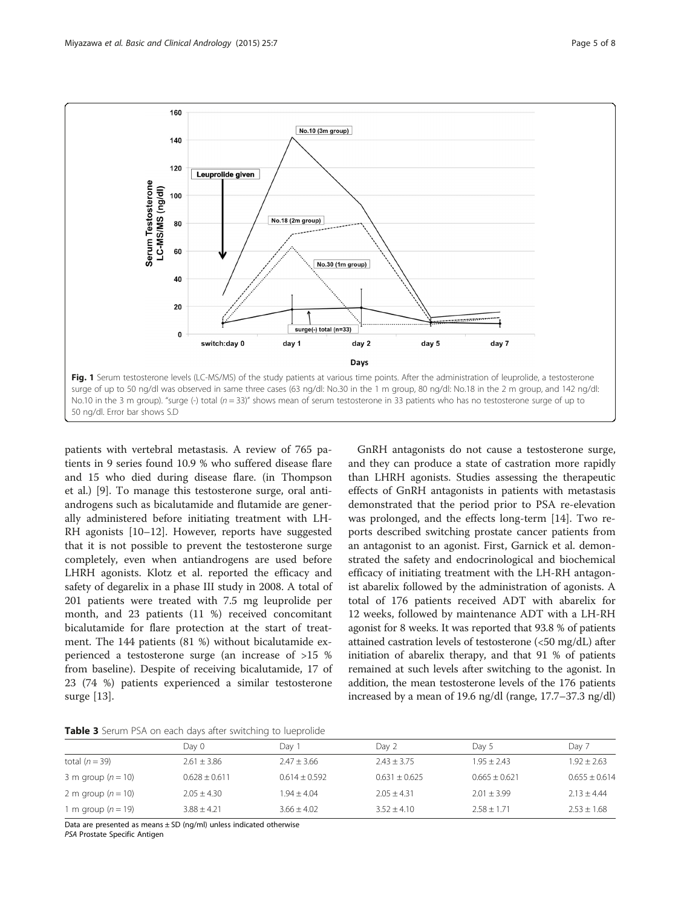<span id="page-4-0"></span>

patients with vertebral metastasis. A review of 765 patients in 9 series found 10.9 % who suffered disease flare and 15 who died during disease flare. (in Thompson et al.) [\[9](#page-7-0)]. To manage this testosterone surge, oral antiandrogens such as bicalutamide and flutamide are generally administered before initiating treatment with LH-RH agonists [[10](#page-7-0)–[12](#page-7-0)]. However, reports have suggested that it is not possible to prevent the testosterone surge completely, even when antiandrogens are used before LHRH agonists. Klotz et al. reported the efficacy and safety of degarelix in a phase III study in 2008. A total of 201 patients were treated with 7.5 mg leuprolide per month, and 23 patients (11 %) received concomitant bicalutamide for flare protection at the start of treatment. The 144 patients (81 %) without bicalutamide experienced a testosterone surge (an increase of >15 % from baseline). Despite of receiving bicalutamide, 17 of 23 (74 %) patients experienced a similar testosterone surge [[13\]](#page-7-0).

GnRH antagonists do not cause a testosterone surge, and they can produce a state of castration more rapidly than LHRH agonists. Studies assessing the therapeutic effects of GnRH antagonists in patients with metastasis demonstrated that the period prior to PSA re-elevation was prolonged, and the effects long-term [\[14](#page-7-0)]. Two reports described switching prostate cancer patients from an antagonist to an agonist. First, Garnick et al. demonstrated the safety and endocrinological and biochemical efficacy of initiating treatment with the LH-RH antagonist abarelix followed by the administration of agonists. A total of 176 patients received ADT with abarelix for 12 weeks, followed by maintenance ADT with a LH-RH agonist for 8 weeks. It was reported that 93.8 % of patients attained castration levels of testosterone (<50 mg/dL) after initiation of abarelix therapy, and that 91 % of patients remained at such levels after switching to the agonist. In addition, the mean testosterone levels of the 176 patients increased by a mean of 19.6 ng/dl (range, 17.7–37.3 ng/dl)

|  |  |  |  |  |  |  |  |  |  | Table 3 Serum PSA on each days after switching to lueprolide |
|--|--|--|--|--|--|--|--|--|--|--------------------------------------------------------------|
|--|--|--|--|--|--|--|--|--|--|--------------------------------------------------------------|

|                        | Dav 0           | Day '           | Day 2             | Day 5           | Day 7             |
|------------------------|-----------------|-----------------|-------------------|-----------------|-------------------|
| total $(n = 39)$       | $2.61 + 3.86$   | $2.47 \pm 3.66$ | $2.43 + 3.75$     | $1.95 + 2.43$   | $1.92 + 2.63$     |
| 3 m group $(n = 10)$   | $0.628 + 0.611$ | $0.614 + 0.592$ | $0.631 \pm 0.625$ | $0.665 + 0.621$ | $0.655 \pm 0.614$ |
| 2 m group $(n = 10)$   | $2.05 + 4.30$   | $1.94 + 4.04$   | $2.05 + 4.31$     | $2.01 + 3.99$   | $2.13 + 4.44$     |
| 1 m group ( $n = 19$ ) | $3.88 + 4.21$   | $3.66 + 4.02$   | $3.52 + 4.10$     | $2.58 + 1.71$   | $2.53 + 1.68$     |

Data are presented as means  $\pm$  SD (ng/ml) unless indicated otherwise

PSA Prostate Specific Antigen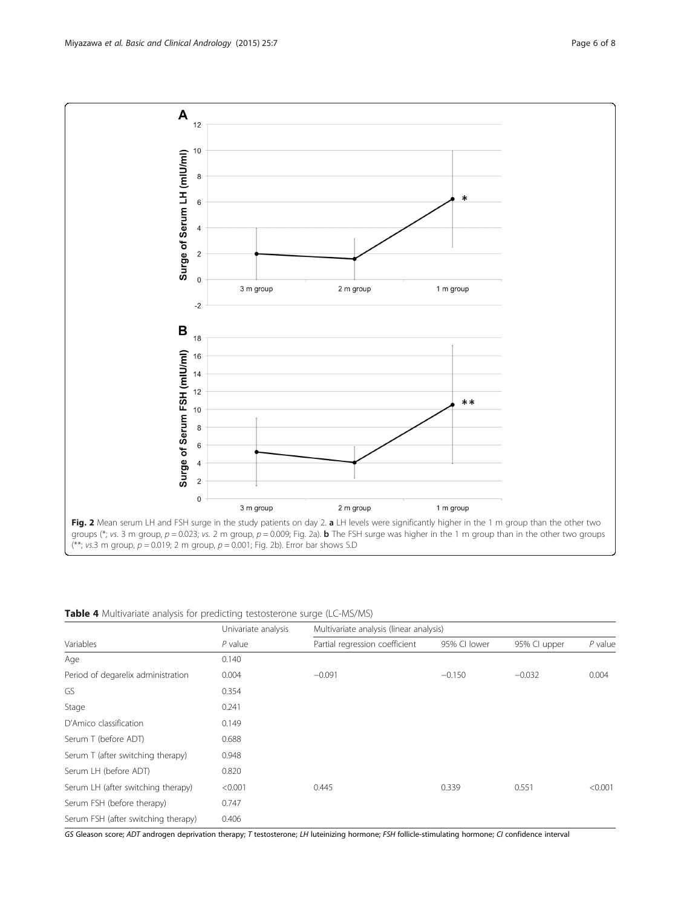Serum FSH (before therapy) 0.747

GS Gleason score; ADT androgen deprivation therapy; T testosterone; LH luteinizing hormone; FSH follicle-stimulating hormone; CI confidence interval

Univariate analysis Multivariate analysis (linear analysis) Variables **P** value P value Partial regression coefficient 95% CI lower 95% CI upper P value

Period of degarelix administration  $0.004$  −0.091 −0.150 −0.032 0.004

<span id="page-5-0"></span>Miyazawa et al. Basic and Clinical Andrology (2015) 25:7 Page 6 of 8



Table 4 Multivariate analysis for predicting testosterone surge (LC-MS/MS)

Age 0.140

GS 0.354 Stage 0.241 D'Amico classification 0.149 Serum T (before ADT) 0.688 Serum T (after switching therapy) 0.948 Serum LH (before ADT) 0.820

Serum FSH (after switching therapy) 0.406

Serum LH (after switching therapy) <0.001 0.445 0.339 0.551 <0.001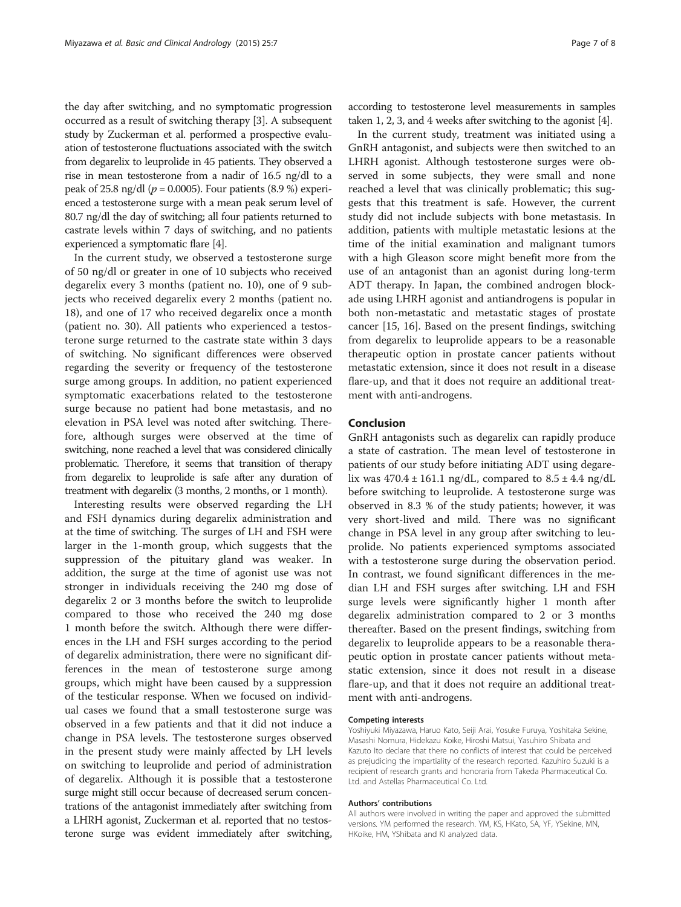the day after switching, and no symptomatic progression occurred as a result of switching therapy [\[3](#page-7-0)]. A subsequent study by Zuckerman et al. performed a prospective evaluation of testosterone fluctuations associated with the switch from degarelix to leuprolide in 45 patients. They observed a rise in mean testosterone from a nadir of 16.5 ng/dl to a peak of 25.8 ng/dl ( $p = 0.0005$ ). Four patients (8.9 %) experienced a testosterone surge with a mean peak serum level of 80.7 ng/dl the day of switching; all four patients returned to castrate levels within 7 days of switching, and no patients experienced a symptomatic flare [[4](#page-7-0)].

In the current study, we observed a testosterone surge of 50 ng/dl or greater in one of 10 subjects who received degarelix every 3 months (patient no. 10), one of 9 subjects who received degarelix every 2 months (patient no. 18), and one of 17 who received degarelix once a month (patient no. 30). All patients who experienced a testosterone surge returned to the castrate state within 3 days of switching. No significant differences were observed regarding the severity or frequency of the testosterone surge among groups. In addition, no patient experienced symptomatic exacerbations related to the testosterone surge because no patient had bone metastasis, and no elevation in PSA level was noted after switching. Therefore, although surges were observed at the time of switching, none reached a level that was considered clinically problematic. Therefore, it seems that transition of therapy from degarelix to leuprolide is safe after any duration of treatment with degarelix (3 months, 2 months, or 1 month).

Interesting results were observed regarding the LH and FSH dynamics during degarelix administration and at the time of switching. The surges of LH and FSH were larger in the 1-month group, which suggests that the suppression of the pituitary gland was weaker. In addition, the surge at the time of agonist use was not stronger in individuals receiving the 240 mg dose of degarelix 2 or 3 months before the switch to leuprolide compared to those who received the 240 mg dose 1 month before the switch. Although there were differences in the LH and FSH surges according to the period of degarelix administration, there were no significant differences in the mean of testosterone surge among groups, which might have been caused by a suppression of the testicular response. When we focused on individual cases we found that a small testosterone surge was observed in a few patients and that it did not induce a change in PSA levels. The testosterone surges observed in the present study were mainly affected by LH levels on switching to leuprolide and period of administration of degarelix. Although it is possible that a testosterone surge might still occur because of decreased serum concentrations of the antagonist immediately after switching from a LHRH agonist, Zuckerman et al. reported that no testosterone surge was evident immediately after switching,

according to testosterone level measurements in samples taken 1, 2, 3, and 4 weeks after switching to the agonist [\[4\]](#page-7-0).

In the current study, treatment was initiated using a GnRH antagonist, and subjects were then switched to an LHRH agonist. Although testosterone surges were observed in some subjects, they were small and none reached a level that was clinically problematic; this suggests that this treatment is safe. However, the current study did not include subjects with bone metastasis. In addition, patients with multiple metastatic lesions at the time of the initial examination and malignant tumors with a high Gleason score might benefit more from the use of an antagonist than an agonist during long-term ADT therapy. In Japan, the combined androgen blockade using LHRH agonist and antiandrogens is popular in both non-metastatic and metastatic stages of prostate cancer [[15, 16\]](#page-7-0). Based on the present findings, switching from degarelix to leuprolide appears to be a reasonable therapeutic option in prostate cancer patients without metastatic extension, since it does not result in a disease flare-up, and that it does not require an additional treatment with anti-androgens.

## Conclusion

GnRH antagonists such as degarelix can rapidly produce a state of castration. The mean level of testosterone in patients of our study before initiating ADT using degarelix was  $470.4 \pm 161.1$  ng/dL, compared to  $8.5 \pm 4.4$  ng/dL before switching to leuprolide. A testosterone surge was observed in 8.3 % of the study patients; however, it was very short-lived and mild. There was no significant change in PSA level in any group after switching to leuprolide. No patients experienced symptoms associated with a testosterone surge during the observation period. In contrast, we found significant differences in the median LH and FSH surges after switching. LH and FSH surge levels were significantly higher 1 month after degarelix administration compared to 2 or 3 months thereafter. Based on the present findings, switching from degarelix to leuprolide appears to be a reasonable therapeutic option in prostate cancer patients without metastatic extension, since it does not result in a disease flare-up, and that it does not require an additional treatment with anti-androgens.

#### Competing interests

Yoshiyuki Miyazawa, Haruo Kato, Seiji Arai, Yosuke Furuya, Yoshitaka Sekine, Masashi Nomura, Hidekazu Koike, Hiroshi Matsui, Yasuhiro Shibata and Kazuto Ito declare that there no conflicts of interest that could be perceived as prejudicing the impartiality of the research reported. Kazuhiro Suzuki is a recipient of research grants and honoraria from Takeda Pharmaceutical Co. Ltd. and Astellas Pharmaceutical Co. Ltd.

#### Authors' contributions

All authors were involved in writing the paper and approved the submitted versions. YM performed the research. YM, KS, HKato, SA, YF, YSekine, MN, HKoike, HM, YShibata and KI analyzed data.